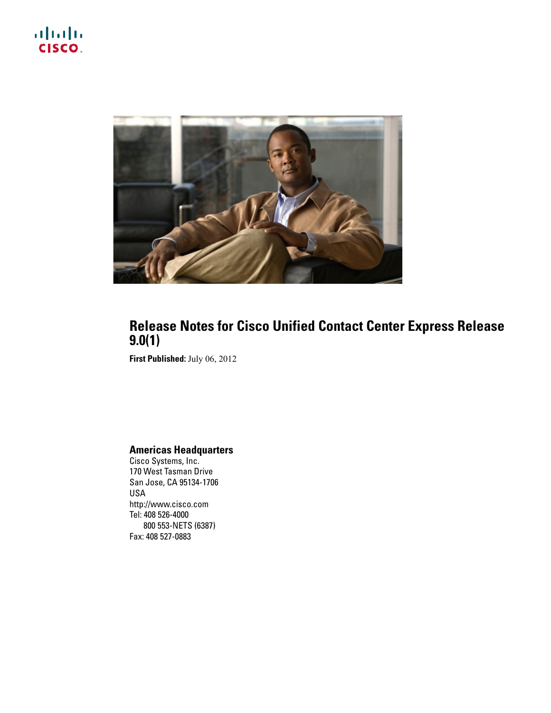



### **Release Notes for Cisco Unified Contact Center Express Release 9.0(1)**

**First Published:** July 06, 2012

#### **Americas Headquarters**

Cisco Systems, Inc. 170 West Tasman Drive San Jose, CA 95134-1706 USA http://www.cisco.com Tel: 408 526-4000 800 553-NETS (6387) Fax: 408 527-0883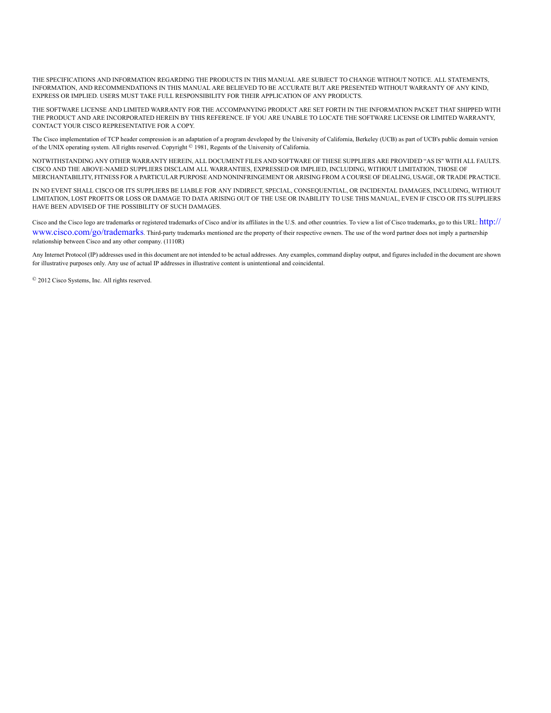THE SPECIFICATIONS AND INFORMATION REGARDING THE PRODUCTS IN THIS MANUAL ARE SUBJECT TO CHANGE WITHOUT NOTICE. ALL STATEMENTS, INFORMATION, AND RECOMMENDATIONS IN THIS MANUAL ARE BELIEVED TO BE ACCURATE BUT ARE PRESENTED WITHOUT WARRANTY OF ANY KIND, EXPRESS OR IMPLIED. USERS MUST TAKE FULL RESPONSIBILITY FOR THEIR APPLICATION OF ANY PRODUCTS.

THE SOFTWARE LICENSE AND LIMITED WARRANTY FOR THE ACCOMPANYING PRODUCT ARE SET FORTH IN THE INFORMATION PACKET THAT SHIPPED WITH THE PRODUCT AND ARE INCORPORATED HEREIN BY THIS REFERENCE. IF YOU ARE UNABLE TO LOCATE THE SOFTWARE LICENSE OR LIMITED WARRANTY, CONTACT YOUR CISCO REPRESENTATIVE FOR A COPY.

The Cisco implementation of TCP header compression is an adaptation of a program developed by the University of California, Berkeley (UCB) as part of UCB's public domain version of the UNIX operating system. All rights reserved. Copyright © 1981, Regents of the University of California.

NOTWITHSTANDING ANY OTHER WARRANTY HEREIN, ALL DOCUMENT FILES AND SOFTWARE OF THESE SUPPLIERS ARE PROVIDED "AS IS" WITH ALL FAULTS. CISCO AND THE ABOVE-NAMED SUPPLIERS DISCLAIM ALL WARRANTIES, EXPRESSED OR IMPLIED, INCLUDING, WITHOUT LIMITATION, THOSE OF MERCHANTABILITY, FITNESS FOR A PARTICULAR PURPOSE AND NONINFRINGEMENT OR ARISING FROM A COURSE OF DEALING, USAGE, OR TRADE PRACTICE.

IN NO EVENT SHALL CISCO OR ITS SUPPLIERS BE LIABLE FOR ANY INDIRECT, SPECIAL, CONSEQUENTIAL, OR INCIDENTAL DAMAGES, INCLUDING, WITHOUT LIMITATION, LOST PROFITS OR LOSS OR DAMAGE TO DATA ARISING OUT OF THE USE OR INABILITY TO USE THIS MANUAL, EVEN IF CISCO OR ITS SUPPLIERS HAVE BEEN ADVISED OF THE POSSIBILITY OF SUCH DAMAGES.

Cisco and the Cisco logo are trademarks or registered trademarks of Cisco and/or its affiliates in the U.S. and other countries. To view a list of Cisco trademarks, go to this URL: [http://](http://www.cisco.com/go/trademarks) [www.cisco.com/go/trademarks](http://www.cisco.com/go/trademarks). Third-party trademarks mentioned are the property of their respective owners. The use of the word partner does not imply <sup>a</sup> partnership relationship between Cisco and any other company. (1110R)

Any Internet Protocol (IP) addresses used in this document are not intended to be actual addresses. Any examples, command display output, and figures included in the document are shown for illustrative purposes only. Any use of actual IP addresses in illustrative content is unintentional and coincidental.

© 2012 Cisco Systems, Inc. All rights reserved.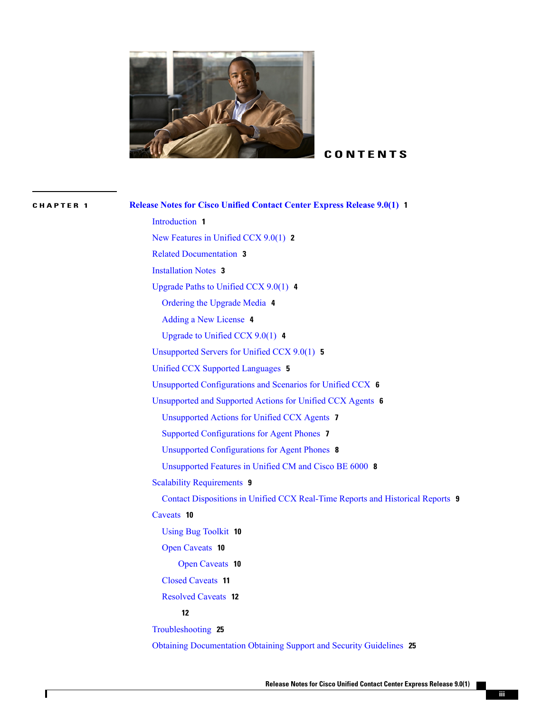

#### **CONTENTS**

**CHAPTER 1 Release Notes for Cisco Unified [Contact](#page-4-0) Center Express Release 9.0(1) 1** [Introduction](#page-4-1) **1** New [Features](#page-5-0) in Unified CCX 9.0(1) **2** Related [Documentation](#page-6-0) **3** [Installation](#page-6-1) Notes **3** [Upgrade](#page-7-0) Paths to Unified CCX 9.0(1) **4** [Ordering](#page-7-1) the Upgrade Media **4** Adding a New [License](#page-7-2) **4** [Upgrade](#page-7-3) to Unified CCX 9.0(1) **4** [Unsupported](#page-8-0) Servers for Unified CCX 9.0(1) **5** Unified CCX Supported [Languages](#page-8-1) **5** Unsupported [Configurations](#page-9-0) and Scenarios for Unified CCX **6** [Unsupported](#page-9-1) and Supported Actions for Unified CCX Agents **6** [Unsupported](#page-10-0) Actions for Unified CCX Agents **7** Supported [Configurations](#page-10-1) for Agent Phones **7** Unsupported [Configurations](#page-11-0) for Agent Phones **8** [Unsupported](#page-11-1) Features in Unified CM and Cisco BE 6000 **8** Scalability [Requirements](#page-12-0) **9** Contact [Dispositions](#page-12-1) in Unified CCX Real-Time Reports and Historical Reports **9** [Caveats](#page-13-0) **10** Using Bug [Toolkit](#page-13-1) **10** Open [Caveats](#page-13-2) **10** Open [Caveats](#page-13-3) **10** Closed [Caveats](#page-14-0) **11** [Resolved](#page-15-0) Caveats **12 [12](#page-15-1)** [Troubleshooting](#page-28-0) **25** Obtaining [Documentation](#page-28-1) Obtaining Support and Security Guidelines **25**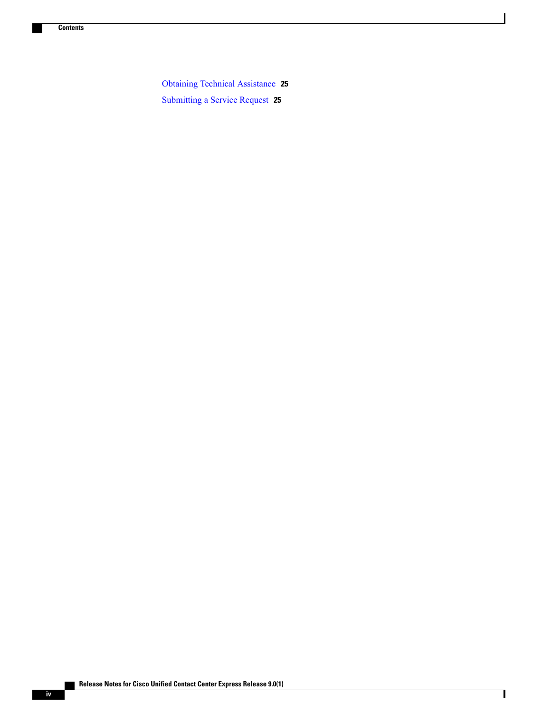Obtaining Technical [Assistance](#page-28-2) **25** [Submitting](#page-28-3) a Service Request **25**

 $\overline{\phantom{a}}$ 

T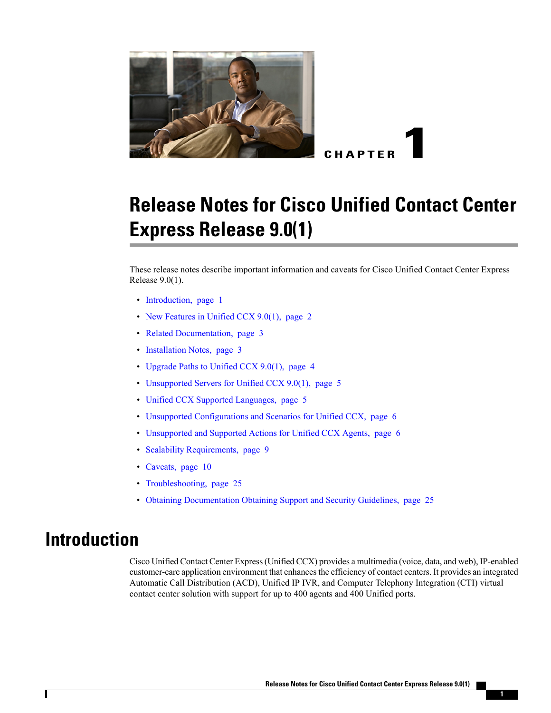<span id="page-4-0"></span>

**CHAPTER 1**

# **Release Notes for Cisco Unified Contact Center Express Release 9.0(1)**

These release notes describe important information and caveats for Cisco Unified Contact Center Express Release 9.0(1).

- [Introduction,](#page-4-1) page 1
- New [Features](#page-5-0) in Unified CCX 9.0(1), page 2
- Related [Documentation,](#page-6-0) page 3
- [Installation](#page-6-1) Notes, page 3
- [Upgrade](#page-7-0) Paths to Unified CCX 9.0(1), page 4
- [Unsupported](#page-8-0) Servers for Unified CCX 9.0(1), page 5
- Unified CCX Supported [Languages,](#page-8-1) page 5
- Unsupported [Configurations](#page-9-0) and Scenarios for Unified CCX, page 6
- [Unsupported](#page-9-1) and Supported Actions for Unified CCX Agents, page 6
- Scalability [Requirements,](#page-12-0) page 9
- [Caveats,](#page-13-0) page 10
- [Troubleshooting,](#page-28-0) page 25
- Obtaining [Documentation](#page-28-1) Obtaining Support and Security Guidelines, page 25

## <span id="page-4-1"></span>**Introduction**

Cisco Unified Contact Center Express(Unified CCX) provides a multimedia (voice, data, and web), IP-enabled customer-care application environment that enhances the efficiency of contact centers. It provides an integrated Automatic Call Distribution (ACD), Unified IP IVR, and Computer Telephony Integration (CTI) virtual contact center solution with support for up to 400 agents and 400 Unified ports.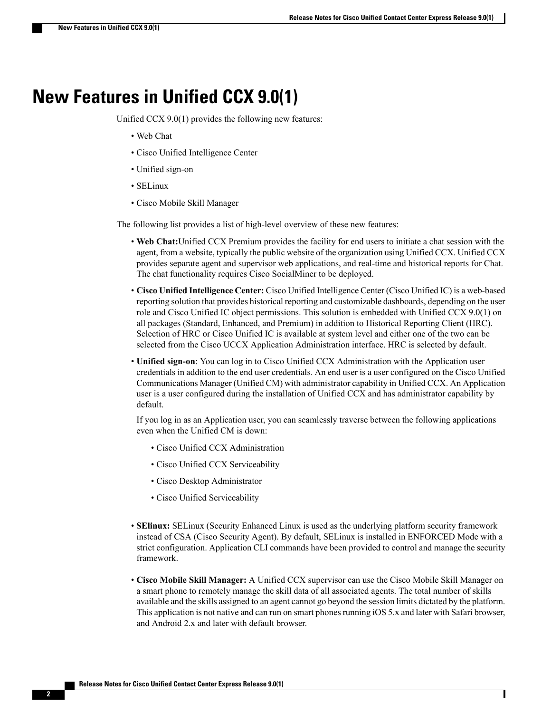## <span id="page-5-0"></span>**New Features in Unified CCX 9.0(1)**

Unified CCX 9.0(1) provides the following new features:

- Web Chat
- Cisco Unified Intelligence Center
- Unified sign-on
- SELinux
- Cisco Mobile Skill Manager

The following list provides a list of high-level overview of these new features:

- **Web Chat:**Unified CCX Premium provides the facility for end users to initiate a chat session with the agent, from a website, typically the public website of the organization using Unified CCX. Unified CCX provides separate agent and supervisor web applications, and real-time and historical reports for Chat. The chat functionality requires Cisco SocialMiner to be deployed.
- **Cisco UnifiedIntelligence Center:** Cisco Unified Intelligence Center (Cisco Unified IC) is a web-based reporting solution that provides historical reporting and customizable dashboards, depending on the user role and Cisco Unified IC object permissions. This solution is embedded with Unified CCX 9.0(1) on all packages (Standard, Enhanced, and Premium) in addition to Historical Reporting Client (HRC). Selection of HRC or Cisco Unified IC is available at system level and either one of the two can be selected from the Cisco UCCX Application Administration interface. HRC is selected by default.
- **Unified sign-on**: You can log in to Cisco Unified CCX Administration with the Application user credentials in addition to the end user credentials. An end user is a user configured on the Cisco Unified Communications Manager (Unified CM) with administrator capability in Unified CCX. An Application user is a user configured during the installation of Unified CCX and has administrator capability by default.

If you log in as an Application user, you can seamlessly traverse between the following applications even when the Unified CM is down:

- Cisco Unified CCX Administration
- Cisco Unified CCX Serviceability
- Cisco Desktop Administrator
- Cisco Unified Serviceability
- **SElinux:** SELinux (Security Enhanced Linux is used as the underlying platform security framework instead of CSA (Cisco Security Agent). By default, SELinux is installed in ENFORCED Mode with a strict configuration. Application CLI commands have been provided to control and manage the security framework.
- **Cisco Mobile Skill Manager:** A Unified CCX supervisor can use the Cisco Mobile Skill Manager on a smart phone to remotely manage the skill data of all associated agents. The total number of skills available and the skills assigned to an agent cannot go beyond the session limits dictated by the platform. This application is not native and can run on smart phones running iOS 5.x and later with Safari browser, and Android 2.x and later with default browser.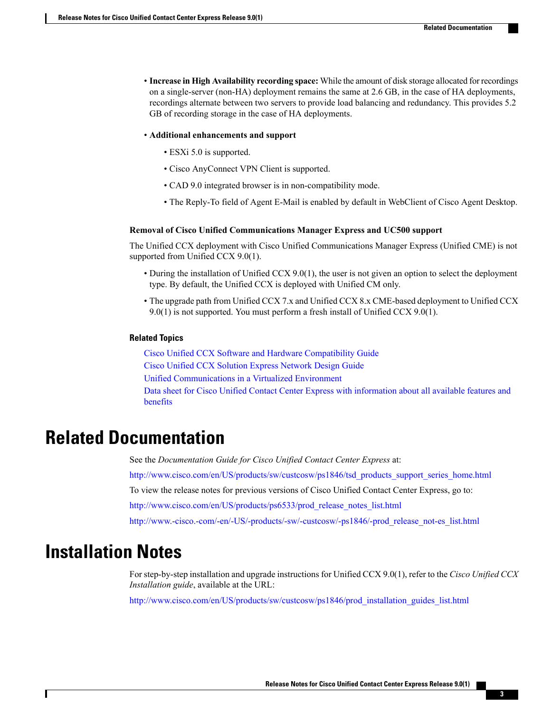- **Increase in High Availability recording space:** While the amount of disk storage allocated for recordings on a single-server (non-HA) deployment remains the same at 2.6 GB, in the case of HA deployments, recordings alternate between two servers to provide load balancing and redundancy. This provides 5.2 GB of recording storage in the case of HA deployments.
- **Additional enhancements and support**
	- ESXi 5.0 is supported.
	- Cisco AnyConnect VPN Client is supported.
	- CAD 9.0 integrated browser is in non-compatibility mode.
	- The Reply-To field of Agent E-Mail is enabled by default in WebClient of Cisco Agent Desktop.

#### **Removal of Cisco Unified Communications Manager Express and UC500 support**

The Unified CCX deployment with Cisco Unified Communications Manager Express (Unified CME) is not supported from Unified CCX 9.0(1).

- During the installation of Unified CCX 9.0(1), the user is not given an option to select the deployment type. By default, the Unified CCX is deployed with Unified CM only.
- The upgrade path from Unified CCX 7.x and Unified CCX 8.x CME-based deployment to Unified CCX 9.0(1) is not supported. You must perform a fresh install of Unified CCX 9.0(1).

#### **Related Topics**

Cisco Unified CCX Software and Hardware [Compatibility](http://www.cisco.com/en/US/docs/voice_ip_comm/cust_contact/contact_center/crs/express_compatibility/matrix/crscomtx.pdf) Guide Cisco Unified CCX Solution Express [Network](http://www.cisco.com/en/US/partner/products/sw/custcosw/ps1846/tsd_products_support_design.html) Design Guide Unified [Communications](http://docwiki.cisco.com/wiki/Unified_Communications_Virtualization) in a Virtualized Environment Data sheet for Cisco Unified Contact Center Express with [information](http://www.cisco.com/en/US/products/sw/custcosw/ps1846/tsd_products_support_series_home.html) about all available features and [benefits](http://www.cisco.com/en/US/products/sw/custcosw/ps1846/tsd_products_support_series_home.html)

## <span id="page-6-0"></span>**Related Documentation**

See the *Documentation Guide for Cisco Unified Contact Center Express* at: [http://www.cisco.com/en/US/products/sw/custcosw/ps1846/tsd\\_products\\_support\\_series\\_home.html](http://www.cisco.com/en/US/products/sw/custcosw/ps1846/tsd_products_support_series_home.html) To view the release notes for previous versions of Cisco Unified Contact Center Express, go to: [http://www.cisco.com/en/US/products/ps6533/prod\\_release\\_notes\\_list.html](http://www.cisco.com/en/US/products/ps6533/prod_release_notes_list.html) [http://www.-cisco.-com/-en/-US/-products/-sw/-custcosw/-ps1846/-prod\\_release\\_not-es\\_list.html](http://www.-cisco.-com/-en/-US/-products/-sw/-custcosw/-ps1846/-prod_release_not-es_list.html)

## <span id="page-6-1"></span>**Installation Notes**

For step-by-step installation and upgrade instructions for Unified CCX 9.0(1), refer to the *Cisco Unified CCX Installation guide*, available at the URL:

[http://www.cisco.com/en/US/products/sw/custcosw/ps1846/prod\\_installation\\_guides\\_list.html](http://www.cisco.com/en/US/products/sw/custcosw/ps1846/prod_installation_guides_list.html)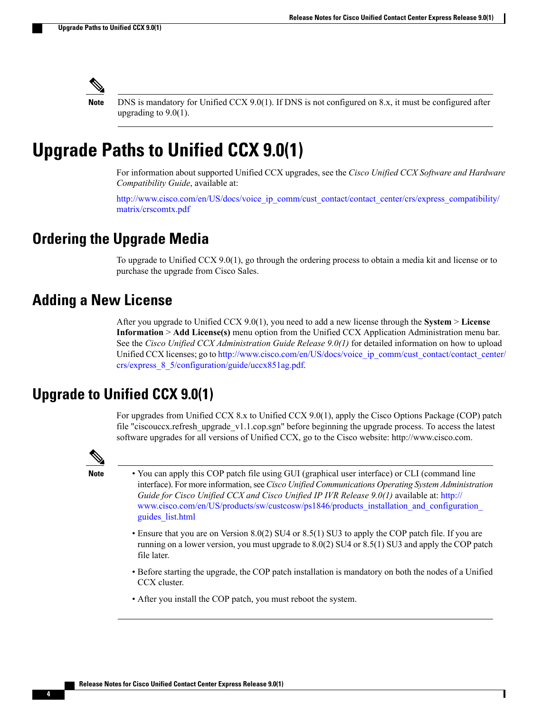

DNS is mandatory for Unified CCX 9.0(1). If DNS is not configured on 8.x, it must be configured after upgrading to 9.0(1).

## <span id="page-7-0"></span>**Upgrade Paths to Unified CCX 9.0(1)**

For information about supported Unified CCX upgrades, see the *Cisco Unified CCX Software and Hardware Compatibility Guide*, available at:

[http://www.cisco.com/en/US/docs/voice\\_ip\\_comm/cust\\_contact/contact\\_center/crs/express\\_compatibility/](http://www.cisco.com/en/US/docs/voice_ip_comm/cust_contact/contact_center/crs/express_compatibility/matrix/crscomtx.pdf) [matrix/crscomtx.pdf](http://www.cisco.com/en/US/docs/voice_ip_comm/cust_contact/contact_center/crs/express_compatibility/matrix/crscomtx.pdf)

### <span id="page-7-2"></span><span id="page-7-1"></span>**Ordering the Upgrade Media**

To upgrade to Unified CCX 9.0(1), go through the ordering process to obtain a media kit and license or to purchase the upgrade from Cisco Sales.

### **Adding a New License**

After you upgrade to Unified CCX 9.0(1), you need to add a new license through the **System** > **License Information** > **Add License(s)** menu option from the Unified CCX Application Administration menu bar. See the *Cisco Unified CCX Administration Guide Release 9.0(1)* for detailed information on how to upload Unified CCX licenses; go to [http://www.cisco.com/en/US/docs/voice\\_ip\\_comm/cust\\_contact/contact\\_center/](http://www.cisco.com/en/US/docs/voice_ip_comm/cust_contact/contact_center/crs/express_8_5/configuration/guide/uccx851ag.pdf) [crs/express\\_8\\_5/configuration/guide/uccx851ag.pdf.](http://www.cisco.com/en/US/docs/voice_ip_comm/cust_contact/contact_center/crs/express_8_5/configuration/guide/uccx851ag.pdf)

#### <span id="page-7-3"></span>**Upgrade to Unified CCX 9.0(1)**

For upgrades from Unified CCX 8.x to Unified CCX 9.0(1), apply the Cisco Options Package (COP) patch file "ciscouccx.refresh\_upgrade\_v1.1.cop.sgn" before beginning the upgrade process. To access the latest software upgrades for all versions of Unified CCX, go to the Cisco website: http://www.cisco.com.



**Note** • You can apply this COP patch file using GUI (graphical user interface) or CLI (command line interface).For more information,see *Cisco Unified Communications Operating System Administration Guide for Cisco Unified CCX and Cisco Unified IP IVR Release 9.0(1)* available at: [http://](http://www.cisco.com/en/US/products/sw/custcosw/ps1846/products_installation_and_configuration_guides_list.html) www.cisco.com/en/US/products/sw/custcosw/ps1846/products\_installation\_and\_configuration [guides\\_list.html](http://www.cisco.com/en/US/products/sw/custcosw/ps1846/products_installation_and_configuration_guides_list.html)

- Ensure that you are on Version 8.0(2) SU4 or 8.5(1) SU3 to apply the COP patch file. If you are running on a lower version, you must upgrade to 8.0(2) SU4 or 8.5(1) SU3 and apply the COP patch file later.
- Before starting the upgrade, the COP patch installation is mandatory on both the nodes of a Unified CCX cluster.
- After you install the COP patch, you must reboot the system.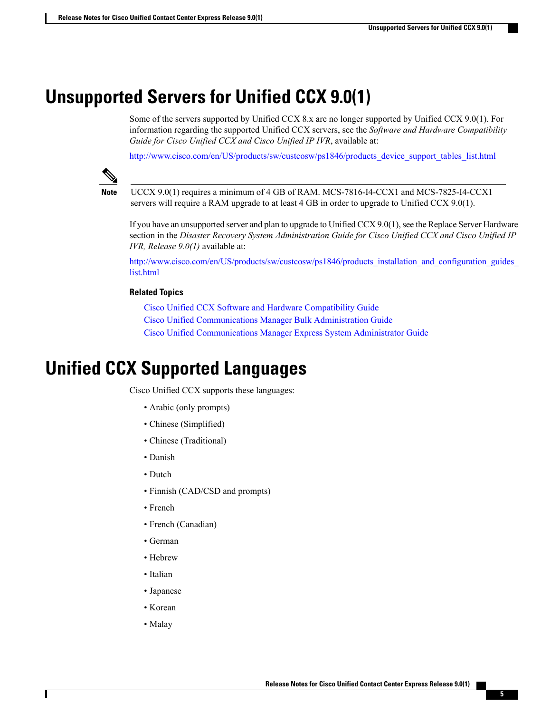## <span id="page-8-0"></span>**Unsupported Servers for Unified CCX 9.0(1)**

Some of the servers supported by Unified CCX 8.x are no longer supported by Unified CCX 9.0(1). For information regarding the supported Unified CCX servers, see the *Software and Hardware Compatibility Guide for Cisco Unified CCX and Cisco Unified IP IVR*, available at:

[http://www.cisco.com/en/US/products/sw/custcosw/ps1846/products\\_device\\_support\\_tables\\_list.html](http://www.cisco.com/en/US/products/sw/custcosw/ps1846/products_device_support_tables_list.html)



**Note**

UCCX 9.0(1) requires a minimum of 4 GB of RAM. MCS-7816-I4-CCX1 and MCS-7825-I4-CCX1 servers will require a RAM upgrade to at least 4 GB in order to upgrade to Unified CCX 9.0(1).

If you have an unsupported server and plan to upgrade to Unified  $CCX 9.0(1)$ , see the Replace Server Hardware section in the *Disaster Recovery System Administration Guide for Cisco Unified CCX and Cisco Unified IP IVR, Release 9.0(1)* available at:

http://www.cisco.com/en/US/products/sw/custcosw/ps1846/products\_installation\_and\_configuration\_guides [list.html](http://www.cisco.com/en/US/products/sw/custcosw/ps1846/products_installation_and_configuration_guides_list.html)

#### **Related Topics**

Cisco Unified CCX Software and Hardware [Compatibility](http://www.cisco.com/en/US/products/sw/custcosw/ps1846/products_device_support_tables_list.html) Guide Cisco Unified [Communications](http://www.cisco.com/en/US/products/sw/voicesw/ps556/prod_maintenance_guides_list.html) Manager Bulk Administration Guide Cisco Unified [Communications](http://www.cisco.com/en/US/docs/voice_ip_comm/cucme/requirements/guide/33matrix.html) Manager Express System Administrator Guide

## <span id="page-8-1"></span>**Unified CCX Supported Languages**

Cisco Unified CCX supports these languages:

- Arabic (only prompts)
- Chinese (Simplified)
- Chinese (Traditional)
- Danish
- Dutch
- Finnish (CAD/CSD and prompts)
- French
- French (Canadian)
- German
- Hebrew
- Italian
- Japanese
- Korean
- Malay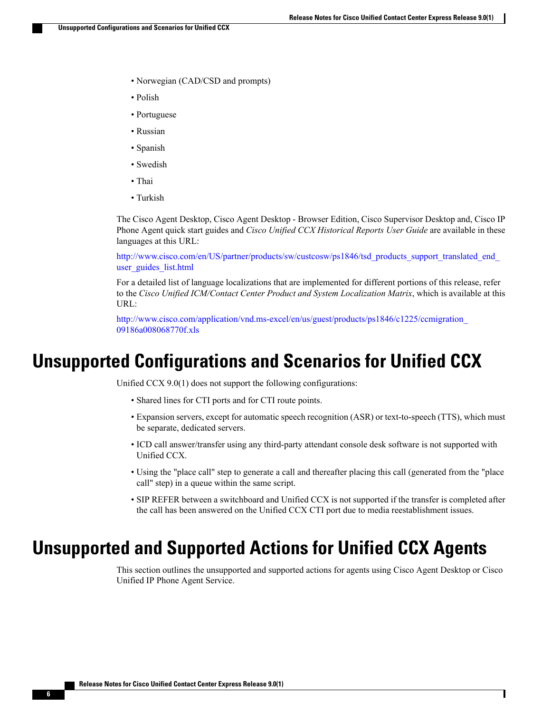- Norwegian (CAD/CSD and prompts)
- Polish
- Portuguese
- Russian
- Spanish
- Swedish
- Thai
- Turkish

The Cisco Agent Desktop, Cisco Agent Desktop - Browser Edition, Cisco Supervisor Desktop and, Cisco IP Phone Agent quick start guides and *Cisco Unified CCX Historical Reports User Guide* are available in these languages at this URL:

http://www.cisco.com/en/US/partner/products/sw/custcosw/ps1846/tsd\_products\_support\_translated\_end user guides list.html

For a detailed list of language localizations that are implemented for different portions of this release, refer to the *Cisco Unified ICM/Contact Center Product and System Localization Matrix*, which is available at this URL:

[http://www.cisco.com/application/vnd.ms-excel/en/us/guest/products/ps1846/c1225/ccmigration\\_](http://www.cisco.com/application/vnd.ms-excel/en/us/guest/products/ps1846/c1225/ccmigration_09186a008068770f.xls) [09186a008068770f.xls](http://www.cisco.com/application/vnd.ms-excel/en/us/guest/products/ps1846/c1225/ccmigration_09186a008068770f.xls)

## <span id="page-9-0"></span>**Unsupported Configurations and Scenarios for Unified CCX**

Unified CCX 9.0(1) does not support the following configurations:

- Shared lines for CTI ports and for CTI route points.
- Expansion servers, except for automatic speech recognition (ASR) or text-to-speech (TTS), which must be separate, dedicated servers.
- ICD call answer/transfer using any third-party attendant console desk software is not supported with Unified CCX.
- Using the "place call" step to generate a call and thereafter placing this call (generated from the "place call" step) in a queue within the same script.
- SIP REFER between a switchboard and Unified CCX is not supported if the transfer is completed after the call has been answered on the Unified CCX CTI port due to media reestablishment issues.

## <span id="page-9-1"></span>**Unsupported and Supported Actions for Unified CCX Agents**

This section outlines the unsupported and supported actions for agents using Cisco Agent Desktop or Cisco Unified IP Phone Agent Service.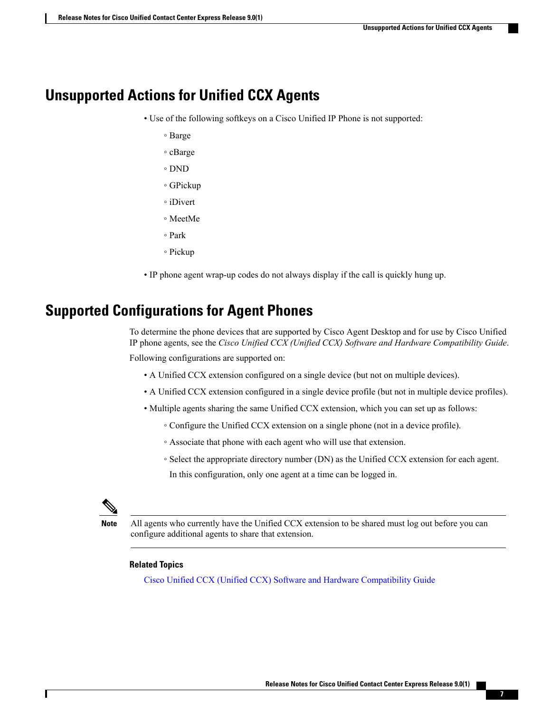### <span id="page-10-0"></span>**Unsupported Actions for Unified CCX Agents**

- Use of the following softkeys on a Cisco Unified IP Phone is not supported:
	- Barge
	- cBarge
	- DND
	- GPickup
	- iDivert
	- MeetMe
	- Park
	- Pickup
- IP phone agent wrap-up codes do not always display if the call is quickly hung up.

### <span id="page-10-1"></span>**Supported Configurations for Agent Phones**

To determine the phone devices that are supported by Cisco Agent Desktop and for use by Cisco Unified IP phone agents, see the *Cisco Unified CCX (Unified CCX) Software and Hardware Compatibility Guide*.

Following configurations are supported on:

- A Unified CCX extension configured on a single device (but not on multiple devices).
- A Unified CCX extension configured in a single device profile (but not in multiple device profiles).
- Multiple agents sharing the same Unified CCX extension, which you can set up as follows:
	- Configure the Unified CCX extension on a single phone (not in a device profile).
	- Associate that phone with each agent who will use that extension.
	- Select the appropriate directory number (DN) as the Unified CCX extension for each agent.
	- In this configuration, only one agent at a time can be logged in.



All agents who currently have the Unified CCX extension to be shared must log out before you can configure additional agents to share that extension.

#### **Related Topics**

Cisco Unified CCX (Unified CCX) Software and Hardware [Compatibility](http://www.cisco.com/en/US/products/sw/custcosw/ps1846/products_device_support_tables_list.html) Guide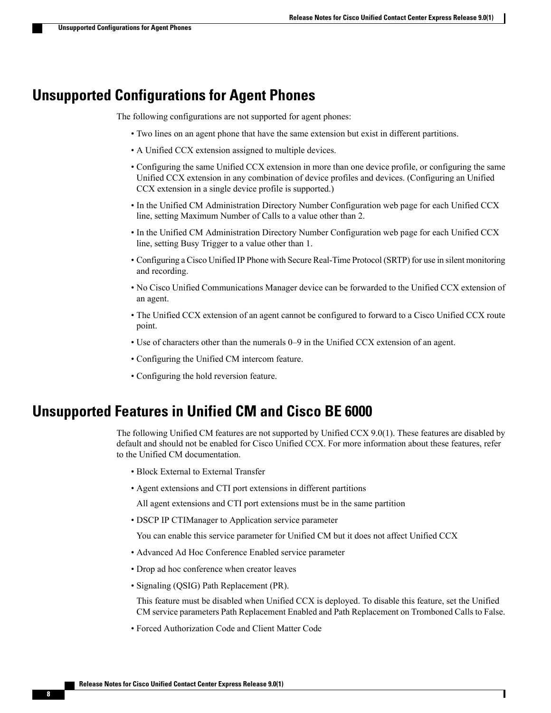#### <span id="page-11-0"></span>**Unsupported Configurations for Agent Phones**

The following configurations are not supported for agent phones:

- Two lines on an agent phone that have the same extension but exist in different partitions.
- A Unified CCX extension assigned to multiple devices.
- Configuring the same Unified CCX extension in more than one device profile, or configuring the same Unified CCX extension in any combination of device profiles and devices. (Configuring an Unified CCX extension in a single device profile is supported.)
- In the Unified CM Administration Directory Number Configuration web page for each Unified CCX line, setting Maximum Number of Calls to a value other than 2.
- In the Unified CM Administration Directory Number Configuration web page for each Unified CCX line, setting Busy Trigger to a value other than 1.
- Configuring a Cisco Unified IP Phone with Secure Real-Time Protocol (SRTP) for use in silent monitoring and recording.
- No Cisco Unified Communications Manager device can be forwarded to the Unified CCX extension of an agent.
- The Unified CCX extension of an agent cannot be configured to forward to a Cisco Unified CCX route point.
- Use of characters other than the numerals 0–9 in the Unified CCX extension of an agent.
- Configuring the Unified CM intercom feature.
- Configuring the hold reversion feature.

### <span id="page-11-1"></span>**Unsupported Features in Unified CM and Cisco BE 6000**

The following Unified CM features are not supported by Unified CCX 9.0(1). These features are disabled by default and should not be enabled for Cisco Unified CCX. For more information about these features, refer to the Unified CM documentation.

- Block External to External Transfer
- Agent extensions and CTI port extensions in different partitions

All agent extensions and CTI port extensions must be in the same partition

• DSCP IP CTIManager to Application service parameter

You can enable this service parameter for Unified CM but it does not affect Unified CCX

- Advanced Ad Hoc Conference Enabled service parameter
- Drop ad hoc conference when creator leaves
- Signaling (QSIG) Path Replacement (PR).

This feature must be disabled when Unified CCX is deployed. To disable this feature, set the Unified CM service parameters Path Replacement Enabled and Path Replacement on Tromboned Calls to False.

• Forced Authorization Code and Client Matter Code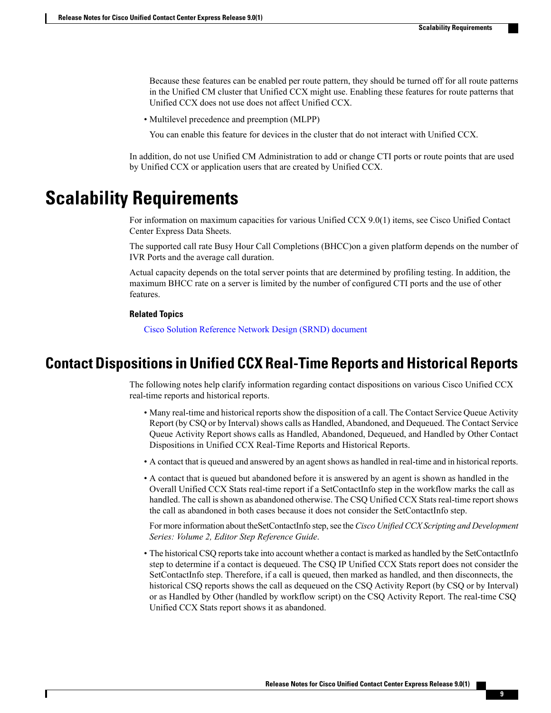Because these features can be enabled per route pattern, they should be turned off for all route patterns in the Unified CM cluster that Unified CCX might use. Enabling these features for route patterns that Unified CCX does not use does not affect Unified CCX.

• Multilevel precedence and preemption (MLPP)

You can enable this feature for devices in the cluster that do not interact with Unified CCX.

In addition, do not use Unified CM Administration to add or change CTI ports or route points that are used by Unified CCX or application users that are created by Unified CCX.

## <span id="page-12-0"></span>**Scalability Requirements**

For information on maximum capacities for various Unified CCX 9.0(1) items, see Cisco Unified Contact Center Express Data Sheets.

The supported call rate Busy Hour Call Completions (BHCC)on a given platform depends on the number of IVR Ports and the average call duration.

Actual capacity depends on the total server points that are determined by profiling testing. In addition, the maximum BHCC rate on a server is limited by the number of configured CTI ports and the use of other features.

#### **Related Topics**

Cisco Solution [Reference](http://www.cisco.com/en/US/partner/products/sw/custcosw/ps1846/tsd_products_support_design.html) Network Design (SRND) document

#### <span id="page-12-1"></span>**Contact Dispositions in Unified CCX Real-Time Reports and Historical Reports**

The following notes help clarify information regarding contact dispositions on various Cisco Unified CCX real-time reports and historical reports.

- Many real-time and historical reports show the disposition of a call. The Contact Service Queue Activity Report (by CSQ or by Interval) shows calls as Handled, Abandoned, and Dequeued. The Contact Service Queue Activity Report shows calls as Handled, Abandoned, Dequeued, and Handled by Other Contact Dispositions in Unified CCX Real-Time Reports and Historical Reports.
- A contact that is queued and answered by an agent shows as handled in real-time and in historical reports.
- A contact that is queued but abandoned before it is answered by an agent is shown as handled in the Overall Unified CCX Stats real-time report if a SetContactInfo step in the workflow marks the call as handled. The call is shown as abandoned otherwise. The CSQ Unified CCX Stats real-time report shows the call as abandoned in both cases because it does not consider the SetContactInfo step.

For more information about theSetContactInfo step,see the *Cisco Unified CCX Scripting and Development Series: Volume 2, Editor Step Reference Guide*.

• The historical CSQ reports take into account whether a contact is marked as handled by the SetContactInfo step to determine if a contact is dequeued. The CSQ IP Unified CCX Stats report does not consider the SetContactInfo step. Therefore, if a call is queued, then marked as handled, and then disconnects, the historical CSQ reports shows the call as dequeued on the CSQ Activity Report (by CSQ or by Interval) or as Handled by Other (handled by workflow script) on the CSQ Activity Report. The real-time CSQ Unified CCX Stats report shows it as abandoned.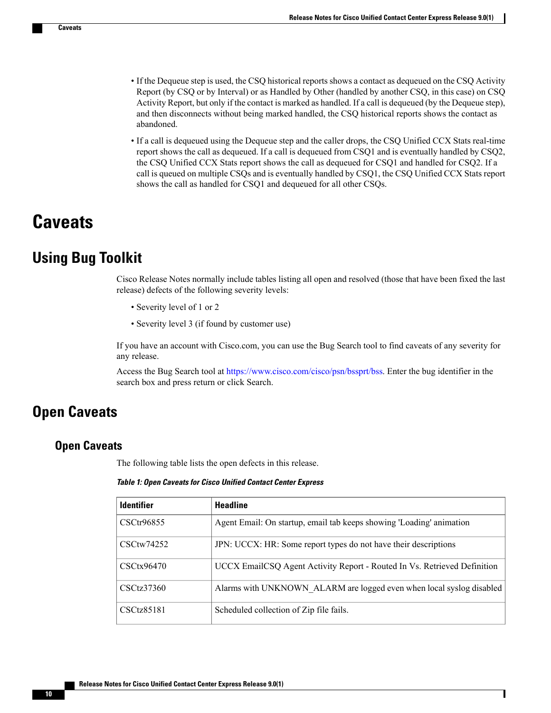- If the Dequeue step is used, the CSQ historical reports shows a contact as dequeued on the CSQ Activity Report (by CSQ or by Interval) or as Handled by Other (handled by another CSQ, in this case) on CSQ Activity Report, but only if the contact is marked as handled. If a call is dequeued (by the Dequeue step), and then disconnects without being marked handled, the CSQ historical reports shows the contact as abandoned.
- If a call is dequeued using the Dequeue step and the caller drops, the CSQ Unified CCX Stats real-time report shows the call as dequeued. If a call is dequeued from CSQ1 and is eventually handled by CSQ2, the CSQ Unified CCX Stats report shows the call as dequeued for CSQ1 and handled for CSQ2. If a call is queued on multiple CSQs and is eventually handled by CSQ1, the CSQ Unified CCX Stats report shows the call as handled for CSQ1 and dequeued for all other CSQs.

## <span id="page-13-1"></span><span id="page-13-0"></span>**Caveats**

### **Using Bug Toolkit**

Cisco Release Notes normally include tables listing all open and resolved (those that have been fixed the last release) defects of the following severity levels:

- Severity level of 1 or 2
- Severity level 3 (if found by customer use)

If you have an account with Cisco.com, you can use the Bug Search tool to find caveats of any severity for any release.

Access the Bug Search tool at <https://www.cisco.com/cisco/psn/bssprt/bss>. Enter the bug identifier in the search box and press return or click Search.

## <span id="page-13-3"></span><span id="page-13-2"></span>**Open Caveats**

#### **Open Caveats**

The following table lists the open defects in this release.

#### **Table 1: Open Caveats for Cisco Unified Contact Center Express**

| <b>Identifier</b> | <b>Headline</b>                                                          |
|-------------------|--------------------------------------------------------------------------|
| CSCtr96855        | Agent Email: On startup, email tab keeps showing 'Loading' animation     |
| CSCtw74252        | JPN: UCCX: HR: Some report types do not have their descriptions          |
| CSCtx96470        | UCCX EmailCSQ Agent Activity Report - Routed In Vs. Retrieved Definition |
| CSCtz37360        | Alarms with UNKNOWN ALARM are logged even when local syslog disabled     |
| CSCtz85181        | Scheduled collection of Zip file fails.                                  |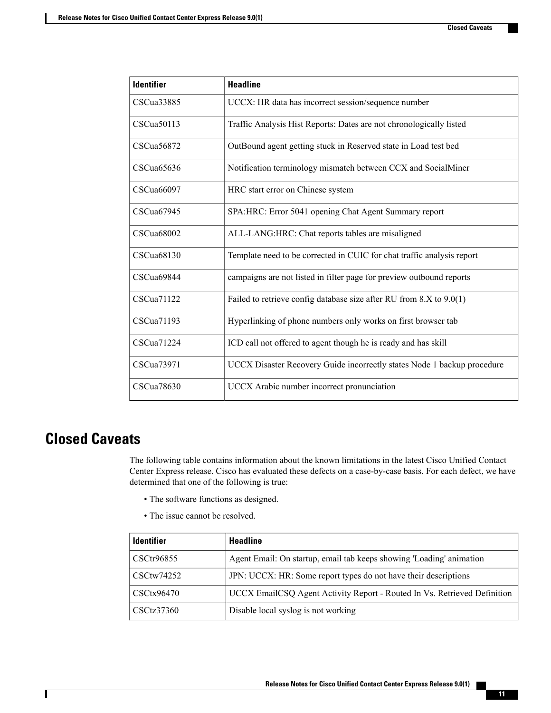| <b>Identifier</b> | <b>Headline</b>                                                         |
|-------------------|-------------------------------------------------------------------------|
| CSCua33885        | UCCX: HR data has incorrect session/sequence number                     |
| CSCua50113        | Traffic Analysis Hist Reports: Dates are not chronologically listed     |
| CSCua56872        | OutBound agent getting stuck in Reserved state in Load test bed         |
| CSCua65636        | Notification terminology mismatch between CCX and SocialMiner           |
| CSCua66097        | HRC start error on Chinese system                                       |
| CSCua67945        | SPA: HRC: Error 5041 opening Chat Agent Summary report                  |
| <b>CSCua68002</b> | ALL-LANG:HRC: Chat reports tables are misaligned                        |
| CSCua68130        | Template need to be corrected in CUIC for chat traffic analysis report  |
| CSCua69844        | campaigns are not listed in filter page for preview outbound reports    |
| CSCua71122        | Failed to retrieve config database size after RU from 8.X to 9.0(1)     |
| CSCua71193        | Hyperlinking of phone numbers only works on first browser tab           |
| CSCua71224        | ICD call not offered to agent though he is ready and has skill          |
| CSCua73971        | UCCX Disaster Recovery Guide incorrectly states Node 1 backup procedure |
| CSCua78630        | UCCX Arabic number incorrect pronunciation                              |

### <span id="page-14-0"></span>**Closed Caveats**

Г

The following table contains information about the known limitations in the latest Cisco Unified Contact Center Express release. Cisco has evaluated these defects on a case-by-case basis. For each defect, we have determined that one of the following is true:

- The software functions as designed.
- The issue cannot be resolved.

| <b>Identifier</b> | <b>Headline</b>                                                          |
|-------------------|--------------------------------------------------------------------------|
| CSCtr96855        | Agent Email: On startup, email tab keeps showing 'Loading' animation     |
| $CSC$ tw $74252$  | JPN: UCCX: HR: Some report types do not have their descriptions          |
| CSCtx96470        | UCCX EmailCSQ Agent Activity Report - Routed In Vs. Retrieved Definition |
| CSCtz37360        | Disable local syslog is not working                                      |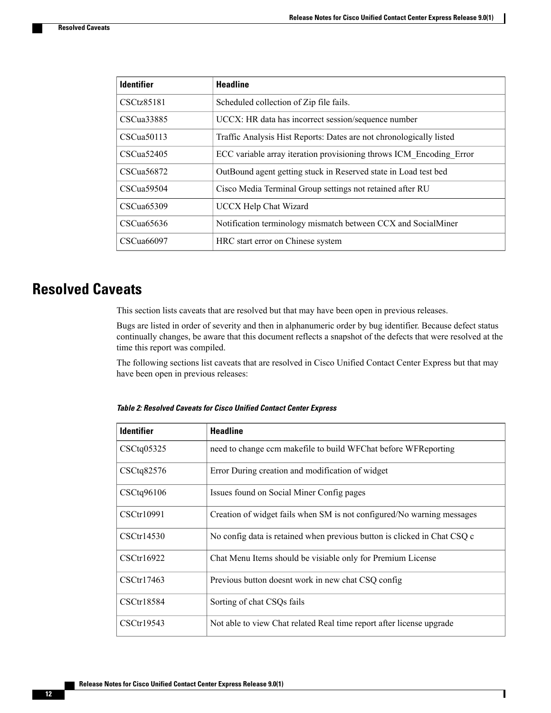| <b>Identifier</b> | <b>Headline</b>                                                     |
|-------------------|---------------------------------------------------------------------|
| CSCtz85181        | Scheduled collection of Zip file fails.                             |
| CSCua33885        | UCCX: HR data has incorrect session/sequence number                 |
| CSCua50113        | Traffic Analysis Hist Reports: Dates are not chronologically listed |
| CSCua52405        | ECC variable array iteration provisioning throws ICM_Encoding_Error |
| CSCua56872        | OutBound agent getting stuck in Reserved state in Load test bed     |
| CSCua59504        | Cisco Media Terminal Group settings not retained after RU           |
| CSCua65309        | <b>UCCX Help Chat Wizard</b>                                        |
| CSCua65636        | Notification terminology mismatch between CCX and SocialMiner       |
| CSCua66097        | HRC start error on Chinese system                                   |

### <span id="page-15-0"></span>**Resolved Caveats**

This section lists caveats that are resolved but that may have been open in previous releases.

Bugs are listed in order of severity and then in alphanumeric order by bug identifier. Because defect status continually changes, be aware that this document reflects a snapshot of the defects that were resolved at the time this report was compiled.

<span id="page-15-1"></span>The following sections list caveats that are resolved in Cisco Unified Contact Center Express but that may have been open in previous releases:

| <b>Identifier</b> | <b>Headline</b>                                                          |
|-------------------|--------------------------------------------------------------------------|
| CSCtq05325        | need to change ccm makefile to build WFChat before WFReporting           |
| CSCtq82576        | Error During creation and modification of widget                         |
| CSCtq96106        | Issues found on Social Miner Config pages                                |
| CSCtr10991        | Creation of widget fails when SM is not configured/No warning messages   |
| CSCtr14530        | No config data is retained when previous button is clicked in Chat CSQ c |
| CSCtr16922        | Chat Menu Items should be visiable only for Premium License              |
| CSCtr17463        | Previous button doesnt work in new chat CSQ config                       |
| CSCtr18584        | Sorting of chat CSQs fails                                               |
| CSCtr19543        | Not able to view Chat related Real time report after license upgrade     |

**Table 2: Resolved Caveats for Cisco Unified Contact Center Express**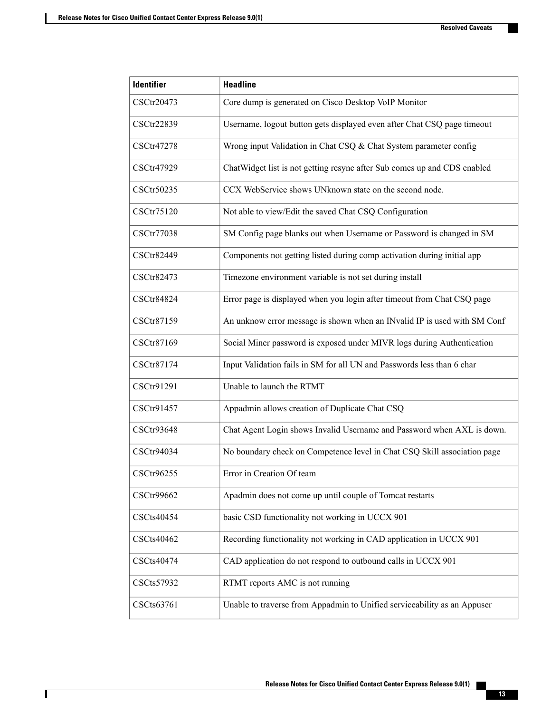| <b>Identifier</b> | <b>Headline</b>                                                          |
|-------------------|--------------------------------------------------------------------------|
| CSCtr20473        | Core dump is generated on Cisco Desktop VoIP Monitor                     |
| CSCtr22839        | Username, logout button gets displayed even after Chat CSQ page timeout  |
| CSCtr47278        | Wrong input Validation in Chat CSQ & Chat System parameter config        |
| CSCtr47929        | ChatWidget list is not getting resync after Sub comes up and CDS enabled |
| CSCtr50235        | CCX WebService shows UNknown state on the second node.                   |
| CSCtr75120        | Not able to view/Edit the saved Chat CSQ Configuration                   |
| CSCtr77038        | SM Config page blanks out when Username or Password is changed in SM     |
| CSCtr82449        | Components not getting listed during comp activation during initial app  |
| CSCtr82473        | Timezone environment variable is not set during install                  |
| <b>CSCtr84824</b> | Error page is displayed when you login after timeout from Chat CSQ page  |
| CSCtr87159        | An unknow error message is shown when an INvalid IP is used with SM Conf |
| CSCtr87169        | Social Miner password is exposed under MIVR logs during Authentication   |
| CSCtr87174        | Input Validation fails in SM for all UN and Passwords less than 6 char   |
| CSCtr91291        | Unable to launch the RTMT                                                |
| CSCtr91457        | Appadmin allows creation of Duplicate Chat CSQ                           |
| CSCtr93648        | Chat Agent Login shows Invalid Username and Password when AXL is down.   |
| CSCtr94034        | No boundary check on Competence level in Chat CSQ Skill association page |
| CSCtr96255        | Error in Creation Of team                                                |
| CSCtr99662        | Apadmin does not come up until couple of Tomcat restarts                 |
| CSCts40454        | basic CSD functionality not working in UCCX 901                          |
| CSCts40462        | Recording functionality not working in CAD application in UCCX 901       |
| CSCts40474        | CAD application do not respond to outbound calls in UCCX 901             |
| CSCts57932        | RTMT reports AMC is not running                                          |
| CSCts63761        | Unable to traverse from Appadmin to Unified serviceability as an Appuser |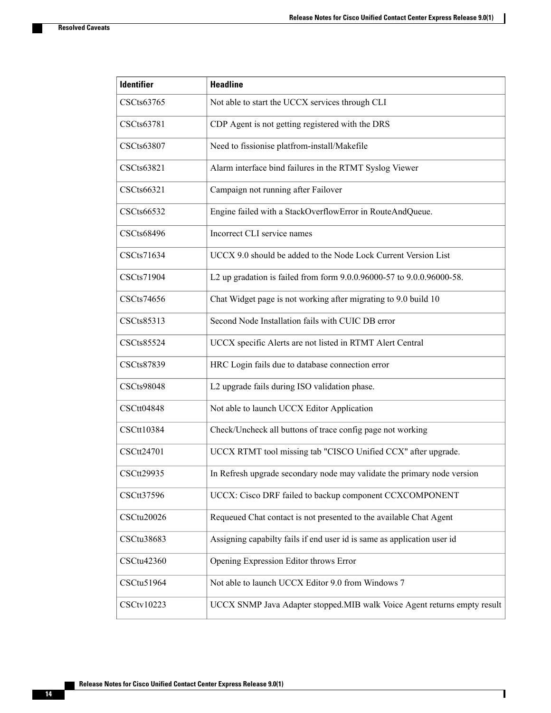$\mathbf{I}$ 

| <b>Identifier</b> | <b>Headline</b>                                                           |
|-------------------|---------------------------------------------------------------------------|
| CSCts63765        | Not able to start the UCCX services through CLI                           |
| CSCts63781        | CDP Agent is not getting registered with the DRS                          |
| CSCts63807        | Need to fissionise platfrom-install/Makefile                              |
| CSCts63821        | Alarm interface bind failures in the RTMT Syslog Viewer                   |
| CSCts66321        | Campaign not running after Failover                                       |
| CSCts66532        | Engine failed with a StackOverflowError in RouteAndQueue.                 |
| <b>CSCts68496</b> | Incorrect CLI service names                                               |
| CSCts71634        | UCCX 9.0 should be added to the Node Lock Current Version List            |
| CSCts71904        | L2 up gradation is failed from form 9.0.0.96000-57 to 9.0.0.96000-58.     |
| CSCts74656        | Chat Widget page is not working after migrating to 9.0 build 10           |
| CSCts85313        | Second Node Installation fails with CUIC DB error                         |
| <b>CSCts85524</b> | UCCX specific Alerts are not listed in RTMT Alert Central                 |
| CSCts87839        | HRC Login fails due to database connection error                          |
| <b>CSCts98048</b> | L2 upgrade fails during ISO validation phase.                             |
| CSCtt04848        | Not able to launch UCCX Editor Application                                |
| CSCtt10384        | Check/Uncheck all buttons of trace config page not working                |
| CSCtt24701        | UCCX RTMT tool missing tab "CISCO Unified CCX" after upgrade.             |
| CSCtt29935        | In Refresh upgrade secondary node may validate the primary node version   |
| CSCtt37596        | UCCX: Cisco DRF failed to backup component CCXCOMPONENT                   |
| CSCtu20026        | Requeued Chat contact is not presented to the available Chat Agent        |
| CSCtu38683        | Assigning capabilty fails if end user id is same as application user id   |
| CSCtu42360        | Opening Expression Editor throws Error                                    |
| CSCtu51964        | Not able to launch UCCX Editor 9.0 from Windows 7                         |
| CSCtv10223        | UCCX SNMP Java Adapter stopped. MIB walk Voice Agent returns empty result |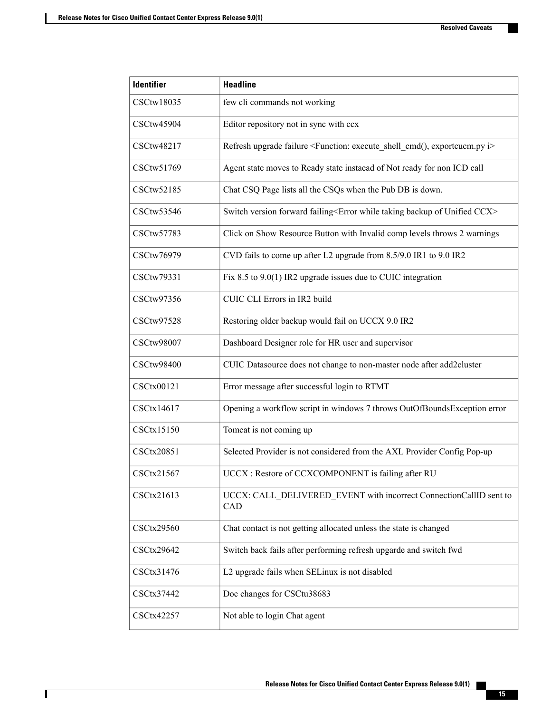| <b>Identifier</b> | <b>Headline</b>                                                                                     |
|-------------------|-----------------------------------------------------------------------------------------------------|
| CSCtw18035        | few cli commands not working                                                                        |
| CSCtw45904        | Editor repository not in sync with ccx                                                              |
| CSCtw48217        | Refresh upgrade failure <function: execute_shell_cmd(),="" exportcucm.py="" i=""></function:>       |
| CSCtw51769        | Agent state moves to Ready state instaead of Not ready for non ICD call                             |
| CSCtw52185        | Chat CSQ Page lists all the CSQs when the Pub DB is down.                                           |
| CSCtw53546        | Switch version forward failing <error backup="" ccx="" of="" taking="" unified="" while=""></error> |
| CSCtw57783        | Click on Show Resource Button with Invalid comp levels throws 2 warnings                            |
| CSCtw76979        | CVD fails to come up after L2 upgrade from 8.5/9.0 IR1 to 9.0 IR2                                   |
| CSCtw79331        | Fix 8.5 to $9.0(1)$ IR2 upgrade issues due to CUIC integration                                      |
| CSCtw97356        | CUIC CLI Errors in IR2 build                                                                        |
| CSCtw97528        | Restoring older backup would fail on UCCX 9.0 IR2                                                   |
| <b>CSCtw98007</b> | Dashboard Designer role for HR user and supervisor                                                  |
| <b>CSCtw98400</b> | CUIC Datasource does not change to non-master node after add2cluster                                |
| CSCtx00121        | Error message after successful login to RTMT                                                        |
| CSCtx14617        | Opening a workflow script in windows 7 throws OutOfBoundsException error                            |
| CSCtx15150        | Tomcat is not coming up                                                                             |
| CSCtx20851        | Selected Provider is not considered from the AXL Provider Config Pop-up                             |
| CSCtx21567        | UCCX : Restore of CCXCOMPONENT is failing after RU                                                  |
| CSCtx21613        | UCCX: CALL_DELIVERED_EVENT with incorrect ConnectionCallID sent to<br>CAD                           |
| <b>CSCtx29560</b> | Chat contact is not getting allocated unless the state is changed                                   |
| CSCtx29642        | Switch back fails after performing refresh upgarde and switch fwd                                   |
| CSCtx31476        | L2 upgrade fails when SELinux is not disabled                                                       |
| CSCtx37442        | Doc changes for CSCtu38683                                                                          |
| CSCtx42257        | Not able to login Chat agent                                                                        |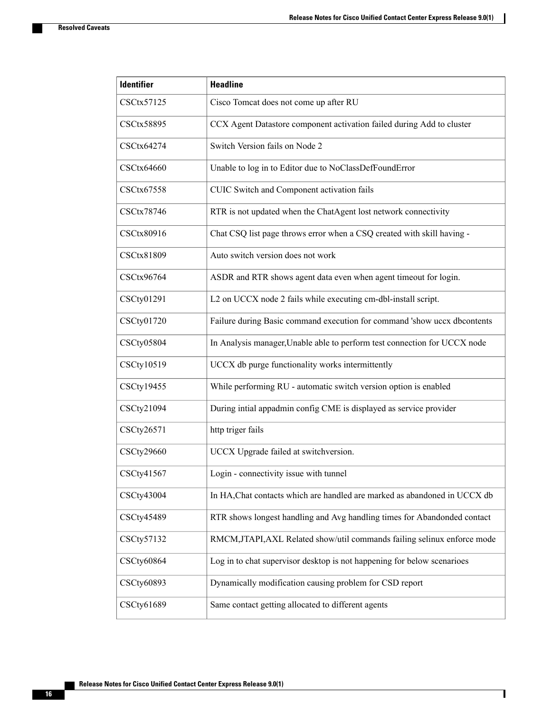$\overline{\phantom{a}}$ 

| <b>Identifier</b> | <b>Headline</b>                                                           |
|-------------------|---------------------------------------------------------------------------|
| CSCtx57125        | Cisco Tomcat does not come up after RU                                    |
| CSCtx58895        | CCX Agent Datastore component activation failed during Add to cluster     |
| CSCtx64274        | Switch Version fails on Node 2                                            |
| <b>CSCtx64660</b> | Unable to log in to Editor due to NoClassDefFoundError                    |
| CSCtx67558        | CUIC Switch and Component activation fails                                |
| CSCtx78746        | RTR is not updated when the ChatAgent lost network connectivity           |
| CSCtx80916        | Chat CSQ list page throws error when a CSQ created with skill having -    |
| CSCtx81809        | Auto switch version does not work                                         |
| CSCtx96764        | ASDR and RTR shows agent data even when agent timeout for login.          |
| CSCty01291        | L2 on UCCX node 2 fails while executing cm-dbl-install script.            |
| CSCty01720        | Failure during Basic command execution for command 'show uccx dbcontents  |
| <b>CSCty05804</b> | In Analysis manager, Unable able to perform test connection for UCCX node |
| CSCty10519        | UCCX db purge functionality works intermittently                          |
| CSCty19455        | While performing RU - automatic switch version option is enabled          |
| CSCty21094        | During intial appadmin config CME is displayed as service provider        |
| CSCty26571        | http triger fails                                                         |
| CSCty29660        | UCCX Upgrade failed at switchversion.                                     |
| CSCty41567        | Login - connectivity issue with tunnel                                    |
| CSCty43004        | In HA, Chat contacts which are handled are marked as abandoned in UCCX db |
| CSCty45489        | RTR shows longest handling and Avg handling times for Abandonded contact  |
| CSCty57132        | RMCM, JTAPI, AXL Related show/util commands failing selinux enforce mode  |
| CSCty60864        | Log in to chat supervisor desktop is not happening for below scenarioes   |
| CSCty60893        | Dynamically modification causing problem for CSD report                   |
| CSCty61689        | Same contact getting allocated to different agents                        |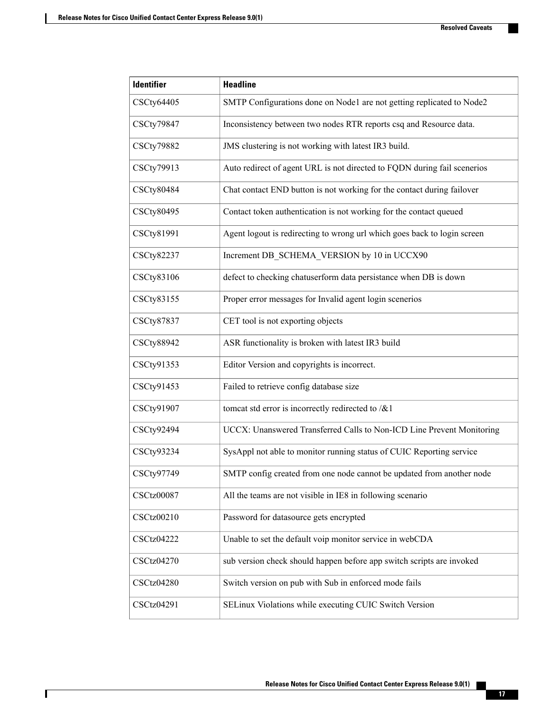| <b>Identifier</b> | <b>Headline</b>                                                          |
|-------------------|--------------------------------------------------------------------------|
| CSCty64405        | SMTP Configurations done on Node1 are not getting replicated to Node2    |
| CSCty79847        | Inconsistency between two nodes RTR reports csq and Resource data.       |
| CSCty79882        | JMS clustering is not working with latest IR3 build.                     |
| CSCty79913        | Auto redirect of agent URL is not directed to FQDN during fail scenerios |
| <b>CSCty80484</b> | Chat contact END button is not working for the contact during failover   |
| CSCty80495        | Contact token authentication is not working for the contact queued       |
| CSCty81991        | Agent logout is redirecting to wrong url which goes back to login screen |
| <b>CSCty82237</b> | Increment DB_SCHEMA_VERSION by 10 in UCCX90                              |
| CSCty83106        | defect to checking chatuserform data persistance when DB is down         |
| CSCty83155        | Proper error messages for Invalid agent login scenerios                  |
| <b>CSCty87837</b> | CET tool is not exporting objects                                        |
| <b>CSCty88942</b> | ASR functionality is broken with latest IR3 build                        |
| CSCty91353        | Editor Version and copyrights is incorrect.                              |
| CSCty91453        | Failed to retrieve config database size                                  |
| CSCty91907        | tomcat std error is incorrectly redirected to $/& 1$                     |
| CSCty92494        | UCCX: Unanswered Transferred Calls to Non-ICD Line Prevent Monitoring    |
| CSCty93234        | SysAppl not able to monitor running status of CUIC Reporting service     |
| CSCty97749        | SMTP config created from one node cannot be updated from another node    |
| <b>CSCtz00087</b> | All the teams are not visible in IE8 in following scenario               |
| CSCtz00210        | Password for datasource gets encrypted                                   |
| <b>CSCtz04222</b> | Unable to set the default voip monitor service in webCDA                 |
| <b>CSCtz04270</b> | sub version check should happen before app switch scripts are invoked    |
| <b>CSCtz04280</b> | Switch version on pub with Sub in enforced mode fails                    |
| CSCtz04291        | SELinux Violations while executing CUIC Switch Version                   |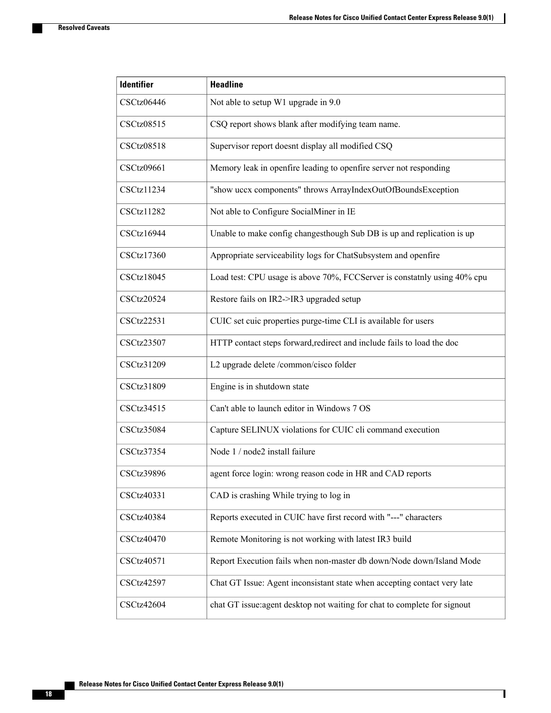$\mathbf{I}$ 

| <b>Identifier</b> | <b>Headline</b>                                                           |
|-------------------|---------------------------------------------------------------------------|
| CSCtz06446        | Not able to setup W1 upgrade in 9.0                                       |
| CSCtz08515        | CSQ report shows blank after modifying team name.                         |
| <b>CSCtz08518</b> | Supervisor report doesnt display all modified CSQ                         |
| CSCtz09661        | Memory leak in openfire leading to openfire server not responding         |
| <b>CSCtz11234</b> | "show uccx components" throws ArrayIndexOutOfBoundsException              |
| CSCtz11282        | Not able to Configure SocialMiner in IE                                   |
| CSCtz16944        | Unable to make config changesthough Sub DB is up and replication is up    |
| CSCtz17360        | Appropriate serviceability logs for ChatSubsystem and openfire            |
| <b>CSCtz18045</b> | Load test: CPU usage is above 70%, FCCServer is constatnly using 40% cpu  |
| <b>CSCtz20524</b> | Restore fails on IR2->IR3 upgraded setup                                  |
| <b>CSCtz22531</b> | CUIC set cuic properties purge-time CLI is available for users            |
| CSCtz23507        | HTTP contact steps forward, redirect and include fails to load the doc    |
| CSCtz31209        | L2 upgrade delete /common/cisco folder                                    |
| CSCtz31809        | Engine is in shutdown state                                               |
| CSCtz34515        | Can't able to launch editor in Windows 7 OS                               |
| <b>CSCtz35084</b> | Capture SELINUX violations for CUIC cli command execution                 |
| CSCtz37354        | Node 1 / node2 install failure                                            |
| <b>CSCtz39896</b> | agent force login: wrong reason code in HR and CAD reports                |
| CSCtz40331        | CAD is crashing While trying to log in                                    |
| <b>CSCtz40384</b> | Reports executed in CUIC have first record with "---" characters          |
| CSCtz40470        | Remote Monitoring is not working with latest IR3 build                    |
| CSCtz40571        | Report Execution fails when non-master db down/Node down/Island Mode      |
| CSCtz42597        | Chat GT Issue: Agent inconsistant state when accepting contact very late  |
| <b>CSCtz42604</b> | chat GT issue: agent desktop not waiting for chat to complete for signout |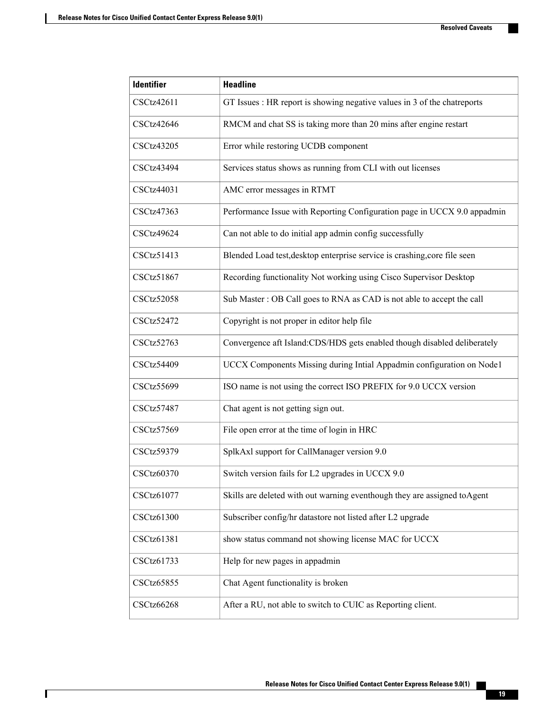| <b>Identifier</b> | <b>Headline</b>                                                           |
|-------------------|---------------------------------------------------------------------------|
| CSCtz42611        | GT Issues : HR report is showing negative values in 3 of the chatreports  |
| <b>CSCtz42646</b> | RMCM and chat SS is taking more than 20 mins after engine restart         |
| <b>CSCtz43205</b> | Error while restoring UCDB component                                      |
| CSCtz43494        | Services status shows as running from CLI with out licenses               |
| CSCtz44031        | AMC error messages in RTMT                                                |
| CSCtz47363        | Performance Issue with Reporting Configuration page in UCCX 9.0 appadmin  |
| CSCtz49624        | Can not able to do initial app admin config successfully                  |
| CSCtz51413        | Blended Load test, desktop enterprise service is crashing, core file seen |
| CSCtz51867        | Recording functionality Not working using Cisco Supervisor Desktop        |
| CSCtz52058        | Sub Master: OB Call goes to RNA as CAD is not able to accept the call     |
| CSCtz52472        | Copyright is not proper in editor help file                               |
| <b>CSCtz52763</b> | Convergence aft Island:CDS/HDS gets enabled though disabled deliberately  |
| <b>CSCtz54409</b> | UCCX Components Missing during Intial Appadmin configuration on Node1     |
| <b>CSCtz55699</b> | ISO name is not using the correct ISO PREFIX for 9.0 UCCX version         |
| CSCtz57487        | Chat agent is not getting sign out.                                       |
| CSCtz57569        | File open error at the time of login in HRC                               |
| <b>CSCtz59379</b> | SplkAxl support for CallManager version 9.0                               |
| <b>CSCtz60370</b> | Switch version fails for L2 upgrades in UCCX 9.0                          |
| CSCtz61077        | Skills are deleted with out warning eventhough they are assigned to Agent |
| <b>CSCtz61300</b> | Subscriber config/hr datastore not listed after L2 upgrade                |
| CSCtz61381        | show status command not showing license MAC for UCCX                      |
| CSCtz61733        | Help for new pages in appadmin                                            |
| <b>CSCtz65855</b> | Chat Agent functionality is broken                                        |
| <b>CSCtz66268</b> | After a RU, not able to switch to CUIC as Reporting client.               |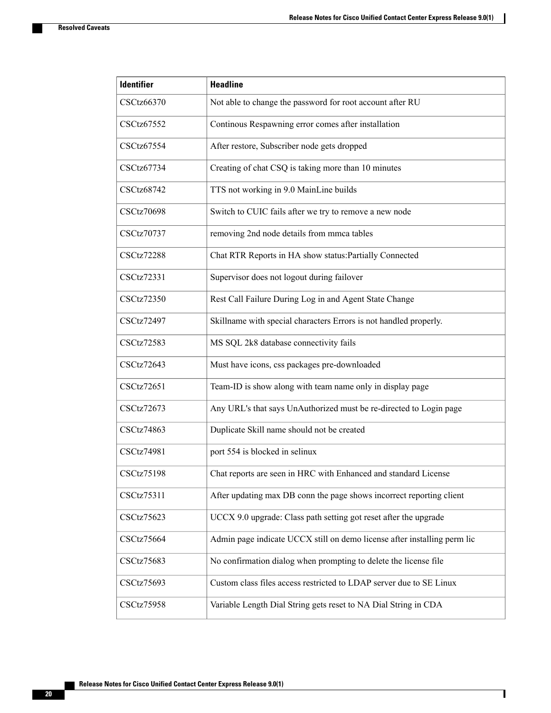$\mathbf{I}$ 

| <b>Identifier</b> | <b>Headline</b>                                                          |
|-------------------|--------------------------------------------------------------------------|
| <b>CSCtz66370</b> | Not able to change the password for root account after RU                |
| CSCtz67552        | Continous Respawning error comes after installation                      |
| CSCtz67554        | After restore, Subscriber node gets dropped                              |
| CSCtz67734        | Creating of chat CSQ is taking more than 10 minutes                      |
| CSCtz68742        | TTS not working in 9.0 MainLine builds                                   |
| <b>CSCtz70698</b> | Switch to CUIC fails after we try to remove a new node                   |
| CSCtz70737        | removing 2nd node details from mmca tables                               |
| CSCtz72288        | Chat RTR Reports in HA show status: Partially Connected                  |
| CSCtz72331        | Supervisor does not logout during failover                               |
| CSCtz72350        | Rest Call Failure During Log in and Agent State Change                   |
| <b>CSCtz72497</b> | Skillname with special characters Errors is not handled properly.        |
| <b>CSCtz72583</b> | MS SQL 2k8 database connectivity fails                                   |
| <b>CSCtz72643</b> | Must have icons, css packages pre-downloaded                             |
| CSCtz72651        | Team-ID is show along with team name only in display page                |
| <b>CSCtz72673</b> | Any URL's that says UnAuthorized must be re-directed to Login page       |
| <b>CSCtz74863</b> | Duplicate Skill name should not be created                               |
| <b>CSCtz74981</b> | port 554 is blocked in selinux                                           |
| <b>CSCtz75198</b> | Chat reports are seen in HRC with Enhanced and standard License          |
| CSCtz75311        | After updating max DB conn the page shows incorrect reporting client     |
| <b>CSCtz75623</b> | UCCX 9.0 upgrade: Class path setting got reset after the upgrade         |
| <b>CSCtz75664</b> | Admin page indicate UCCX still on demo license after installing perm lic |
| CSCtz75683        | No confirmation dialog when prompting to delete the license file         |
| <b>CSCtz75693</b> | Custom class files access restricted to LDAP server due to SE Linux      |
| <b>CSCtz75958</b> | Variable Length Dial String gets reset to NA Dial String in CDA          |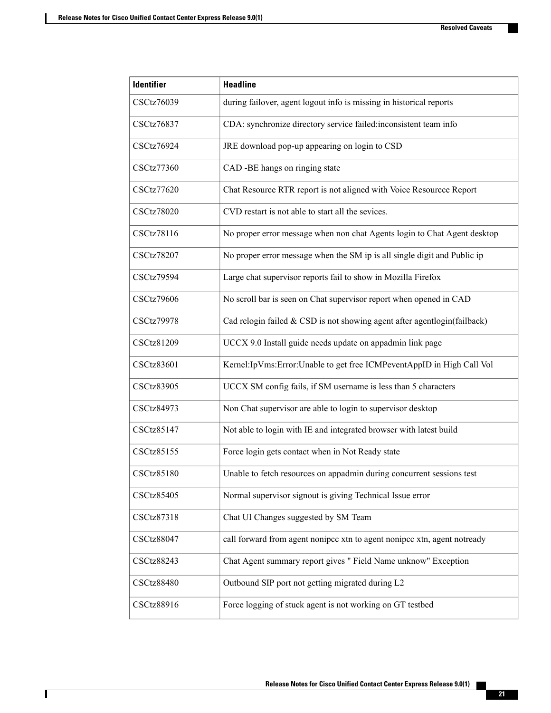| <b>Identifier</b> | <b>Headline</b>                                                          |
|-------------------|--------------------------------------------------------------------------|
| <b>CSCtz76039</b> | during failover, agent logout info is missing in historical reports      |
| <b>CSCtz76837</b> | CDA: synchronize directory service failed:inconsistent team info         |
| <b>CSCtz76924</b> | JRE download pop-up appearing on login to CSD                            |
| <b>CSCtz77360</b> | CAD -BE hangs on ringing state                                           |
| <b>CSCtz77620</b> | Chat Resource RTR report is not aligned with Voice Resourcce Report      |
| <b>CSCtz78020</b> | CVD restart is not able to start all the sevices.                        |
| CSCtz78116        | No proper error message when non chat Agents login to Chat Agent desktop |
| <b>CSCtz78207</b> | No proper error message when the SM ip is all single digit and Public ip |
| CSCtz79594        | Large chat supervisor reports fail to show in Mozilla Firefox            |
| <b>CSCtz79606</b> | No scroll bar is seen on Chat supervisor report when opened in CAD       |
| <b>CSCtz79978</b> | Cad relogin failed & CSD is not showing agent after agentlogin(failback) |
| CSCtz81209        | UCCX 9.0 Install guide needs update on appadmin link page                |
| <b>CSCtz83601</b> | Kernel: IpVms: Error: Unable to get free ICMPeventAppID in High Call Vol |
| <b>CSCtz83905</b> | UCCX SM config fails, if SM username is less than 5 characters           |
| CSCtz84973        | Non Chat supervisor are able to login to supervisor desktop              |
| CSCtz85147        | Not able to login with IE and integrated browser with latest build       |
| CSCtz85155        | Force login gets contact when in Not Ready state                         |
| <b>CSCtz85180</b> | Unable to fetch resources on appadmin during concurrent sessions test    |
| <b>CSCtz85405</b> | Normal supervisor signout is giving Technical Issue error                |
| CSCtz87318        | Chat UI Changes suggested by SM Team                                     |
| <b>CSCtz88047</b> | call forward from agent nonipcc xtn to agent nonipcc xtn, agent notready |
| <b>CSCtz88243</b> | Chat Agent summary report gives " Field Name unknow" Exception           |
| <b>CSCtz88480</b> | Outbound SIP port not getting migrated during L2                         |
| CSCtz88916        | Force logging of stuck agent is not working on GT testbed                |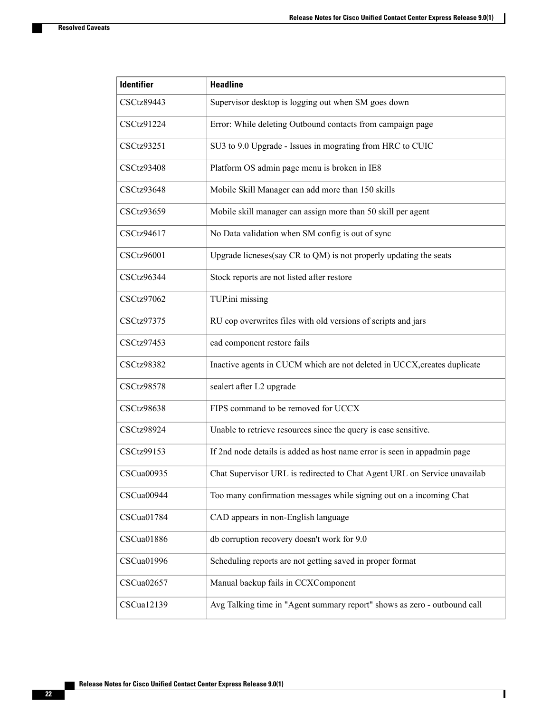$\mathbf{I}$ 

| <b>Identifier</b> | <b>Headline</b>                                                          |
|-------------------|--------------------------------------------------------------------------|
| <b>CSCtz89443</b> | Supervisor desktop is logging out when SM goes down                      |
| CSCtz91224        | Error: While deleting Outbound contacts from campaign page               |
| CSCtz93251        | SU3 to 9.0 Upgrade - Issues in mograting from HRC to CUIC                |
| <b>CSCtz93408</b> | Platform OS admin page menu is broken in IE8                             |
| CSCtz93648        | Mobile Skill Manager can add more than 150 skills                        |
| CSCtz93659        | Mobile skill manager can assign more than 50 skill per agent             |
| CSCtz94617        | No Data validation when SM config is out of sync                         |
| <b>CSCtz96001</b> | Upgrade licneses(say CR to QM) is not properly updating the seats        |
| CSCtz96344        | Stock reports are not listed after restore                               |
| CSCtz97062        | TUP.ini missing                                                          |
| CSCtz97375        | RU cop overwrites files with old versions of scripts and jars            |
| CSCtz97453        | cad component restore fails                                              |
| <b>CSCtz98382</b> | Inactive agents in CUCM which are not deleted in UCCX, creates duplicate |
| <b>CSCtz98578</b> | sealert after L2 upgrade                                                 |
| <b>CSCtz98638</b> | FIPS command to be removed for UCCX                                      |
| <b>CSCtz98924</b> | Unable to retrieve resources since the query is case sensitive.          |
| CSCtz99153        | If 2nd node details is added as host name error is seen in appadmin page |
| CSCua00935        | Chat Supervisor URL is redirected to Chat Agent URL on Service unavailab |
| CSCua00944        | Too many confirmation messages while signing out on a incoming Chat      |
| CSCua01784        | CAD appears in non-English language                                      |
| CSCua01886        | db corruption recovery doesn't work for 9.0                              |
| CSCua01996        | Scheduling reports are not getting saved in proper format                |
| CSCua02657        | Manual backup fails in CCXComponent                                      |
| CSCua12139        | Avg Talking time in "Agent summary report" shows as zero - outbound call |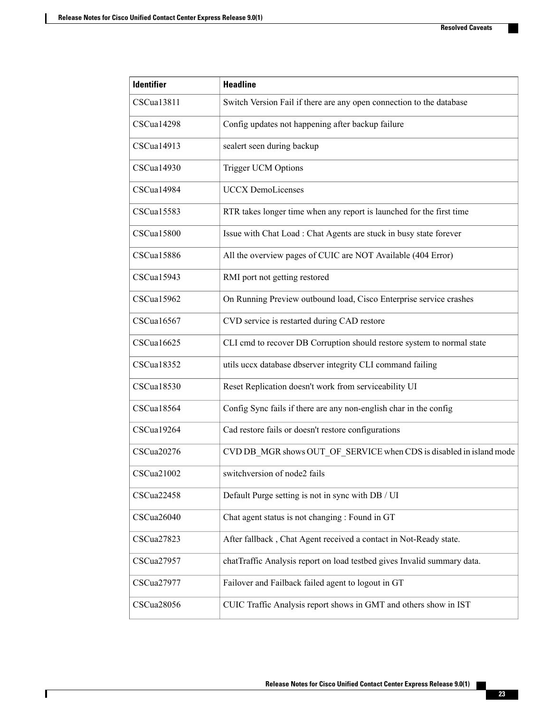| <b>Identifier</b> | <b>Headline</b>                                                         |
|-------------------|-------------------------------------------------------------------------|
| CSCua13811        | Switch Version Fail if there are any open connection to the database    |
| CSCua14298        | Config updates not happening after backup failure                       |
| CSCua14913        | sealert seen during backup                                              |
| CSCua14930        | Trigger UCM Options                                                     |
| CSCua14984        | <b>UCCX DemoLicenses</b>                                                |
| CSCua15583        | RTR takes longer time when any report is launched for the first time    |
| CSCua15800        | Issue with Chat Load : Chat Agents are stuck in busy state forever      |
| <b>CSCua15886</b> | All the overview pages of CUIC are NOT Available (404 Error)            |
| CSCual5943        | RMI port not getting restored                                           |
| CSCua15962        | On Running Preview outbound load, Cisco Enterprise service crashes      |
| CSCual6567        | CVD service is restarted during CAD restore                             |
| CSCual6625        | CLI cmd to recover DB Corruption should restore system to normal state  |
| CSCua18352        | utils uccx database dbserver integrity CLI command failing              |
| CSCual8530        | Reset Replication doesn't work from serviceability UI                   |
| CSCua18564        | Config Sync fails if there are any non-english char in the config       |
| CSCua19264        | Cad restore fails or doesn't restore configurations                     |
| CSCua20276        | CVD DB MGR shows OUT OF SERVICE when CDS is disabled in island mode     |
| CSCua21002        | switchversion of node2 fails                                            |
| CSCua22458        | Default Purge setting is not in sync with DB / UI                       |
| CSCua26040        | Chat agent status is not changing : Found in GT                         |
| CSCua27823        | After fallback, Chat Agent received a contact in Not-Ready state.       |
| CSCua27957        | chatTraffic Analysis report on load testbed gives Invalid summary data. |
| CSCua27977        | Failover and Failback failed agent to logout in GT                      |
| CSCua28056        | CUIC Traffic Analysis report shows in GMT and others show in IST        |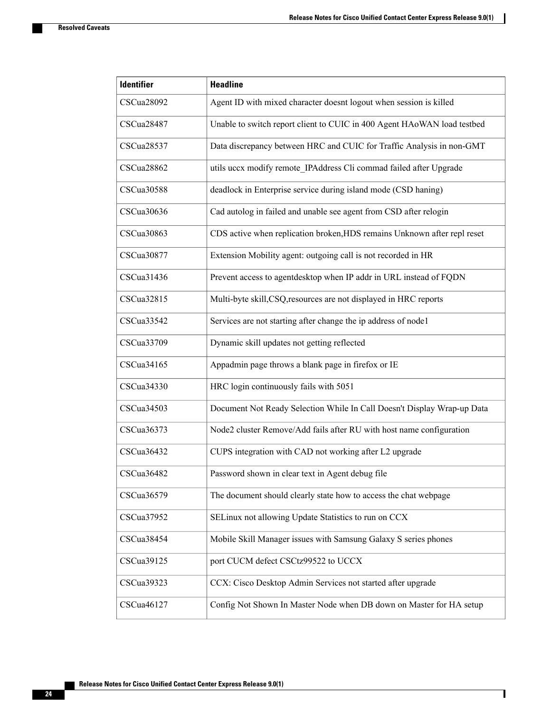$\mathbf{I}$ 

| <b>Identifier</b> | <b>Headline</b>                                                          |
|-------------------|--------------------------------------------------------------------------|
| CSCua28092        | Agent ID with mixed character doesnt logout when session is killed       |
| CSCua28487        | Unable to switch report client to CUIC in 400 Agent HAoWAN load testbed  |
| CSCua28537        | Data discrepancy between HRC and CUIC for Traffic Analysis in non-GMT    |
| CSCua28862        | utils uccx modify remote_IPAddress Cli commad failed after Upgrade       |
| CSCua30588        | deadlock in Enterprise service during island mode (CSD haning)           |
| CSCua30636        | Cad autolog in failed and unable see agent from CSD after relogin        |
| CSCua30863        | CDS active when replication broken, HDS remains Unknown after repl reset |
| CSCua30877        | Extension Mobility agent: outgoing call is not recorded in HR            |
| CSCua31436        | Prevent access to agentdesktop when IP addr in URL instead of FQDN       |
| CSCua32815        | Multi-byte skill, CSQ, resources are not displayed in HRC reports        |
| CSCua33542        | Services are not starting after change the ip address of nodel           |
| CSCua33709        | Dynamic skill updates not getting reflected                              |
| CSCua34165        | Appadmin page throws a blank page in firefox or IE                       |
| CSCua34330        | HRC login continuously fails with 5051                                   |
| CSCua34503        | Document Not Ready Selection While In Call Doesn't Display Wrap-up Data  |
| CSCua36373        | Node2 cluster Remove/Add fails after RU with host name configuration     |
| CSCua36432        | CUPS integration with CAD not working after L2 upgrade                   |
| CSCua36482        | Password shown in clear text in Agent debug file                         |
| CSCua36579        | The document should clearly state how to access the chat webpage         |
| CSCua37952        | SELinux not allowing Update Statistics to run on CCX                     |
| CSCua38454        | Mobile Skill Manager issues with Samsung Galaxy S series phones          |
| CSCua39125        | port CUCM defect CSCtz99522 to UCCX                                      |
| CSCua39323        | CCX: Cisco Desktop Admin Services not started after upgrade              |
| CSCua46127        | Config Not Shown In Master Node when DB down on Master for HA setup      |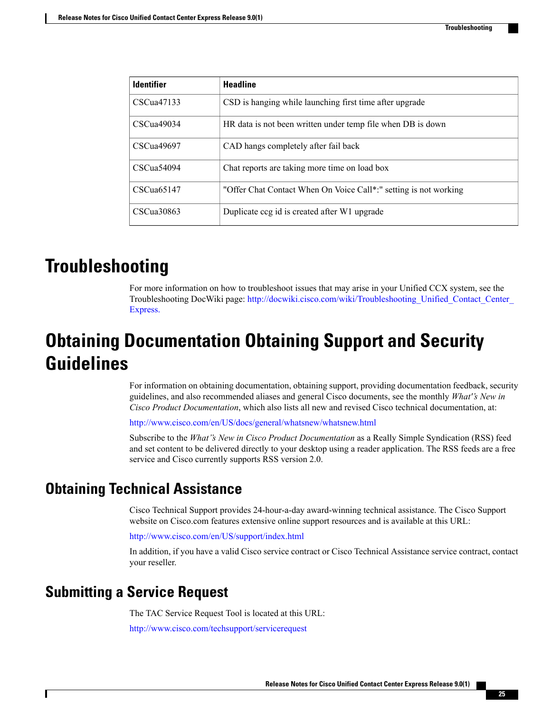| <b>Identifier</b> | <b>Headline</b>                                                  |
|-------------------|------------------------------------------------------------------|
| CSCua47133        | CSD is hanging while launching first time after upgrade          |
| CSCua49034        | HR data is not been written under temp file when DB is down      |
| CSCua49697        | CAD hangs completely after fail back                             |
| CSCua54094        | Chat reports are taking more time on load box                    |
| CSCua65147        | "Offer Chat Contact When On Voice Call*:" setting is not working |
| CSCua30863        | Duplicate ccg id is created after W1 upgrade                     |

## <span id="page-28-0"></span>**Troubleshooting**

For more information on how to troubleshoot issues that may arise in your Unified CCX system, see the Troubleshooting DocWiki page: [http://docwiki.cisco.com/wiki/Troubleshooting\\_Unified\\_Contact\\_Center\\_](http://docwiki.cisco.com/wiki/Troubleshooting_Unified_Contact_Center_Express) [Express.](http://docwiki.cisco.com/wiki/Troubleshooting_Unified_Contact_Center_Express)

## <span id="page-28-1"></span>**Obtaining Documentation Obtaining Support and Security Guidelines**

For information on obtaining documentation, obtaining support, providing documentation feedback, security guidelines, and also recommended aliases and general Cisco documents, see the monthly *What''s New in Cisco Product Documentation*, which also lists all new and revised Cisco technical documentation, at:

<http://www.cisco.com/en/US/docs/general/whatsnew/whatsnew.html>

Subscribe to the *What''s New in Cisco Product Documentation* as a Really Simple Syndication (RSS) feed and set content to be delivered directly to your desktop using a reader application. The RSS feeds are a free service and Cisco currently supports RSS version 2.0.

## <span id="page-28-3"></span><span id="page-28-2"></span>**Obtaining Technical Assistance**

Cisco Technical Support provides 24-hour-a-day award-winning technical assistance. The Cisco Support website on Cisco.com features extensive online support resources and is available at this URL:

<http://www.cisco.com/en/US/support/index.html>

In addition, if you have a valid Cisco service contract or Cisco Technical Assistance service contract, contact your reseller.

### **Submitting a Service Request**

The TAC Service Request Tool is located at this URL:

<http://www.cisco.com/techsupport/servicerequest>